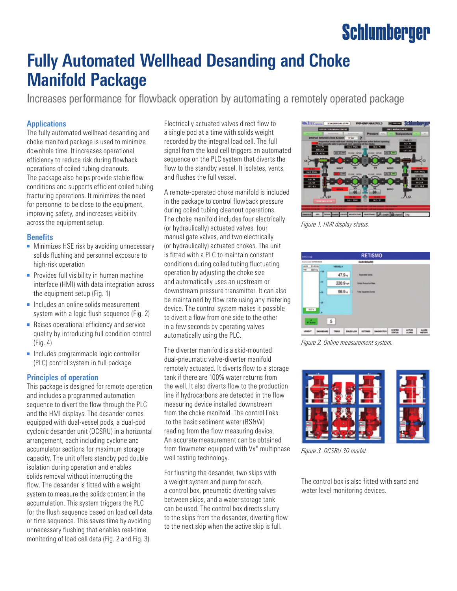# **Schlumberger**

## **Fully Automated Wellhead Desanding and Choke Manifold Package**

Increases performance for flowback operation by automating a remotely operated package

#### **Applications**

The fully automated wellhead desanding and choke manifold package is used to minimize downhole time. It increases operational efficiency to reduce risk during flowback operations of coiled tubing cleanouts. The package also helps provide stable flow conditions and supports efficient coiled tubing fracturing operations. It minimizes the need for personnel to be close to the equipment, improving safety, and increases visibility across the equipment setup.

#### **Benefits**

- Minimizes HSE risk by avoiding unnecessary solids flushing and personnel exposure to high-risk operation
- Provides full visibility in human machine interface (HMI) with data integration across the equipment setup (Fig. 1)
- Includes an online solids measurement system with a logic flush sequence (Fig. 2)
- Raises operational efficiency and service quality by introducing full condition control (Fig. 4)
- Includes programmable logic controller (PLC) control system in full package

#### **Principles of operation**

This package is designed for remote operation and includes a programmed automation sequence to divert the flow through the PLC and the HMI displays. The desander comes equipped with dual-vessel pods, a dual-pod cyclonic desander unit (DCSRU) in a horizontal arrangement, each including cyclone and accumulator sections for maximum storage capacity. The unit offers standby pod double isolation during operation and enables solids removal without interrupting the flow. The desander is fitted with a weight system to measure the solids content in the accumulation. This system triggers the PLC for the flush sequence based on load cell data or time sequence. This saves time by avoiding unnecessary flushing that enables real-time monitoring of load cell data (Fig. 2 and Fig. 3).

Electrically actuated valves direct flow to a single pod at a time with solids weight recorded by the integral load cell. The full signal from the load cell triggers an automated sequence on the PLC system that diverts the flow to the standby vessel. It isolates, vents, and flushes the full vessel.

A remote-operated choke manifold is included in the package to control flowback pressure during coiled tubing cleanout operations. The choke manifold includes four electrically (or hydraulically) actuated valves, four manual gate valves, and two electrically (or hydraulically) actuated chokes. The unit is fitted with a PLC to maintain constant conditions during coiled tubing fluctuating operation by adjusting the choke size and automatically uses an upstream or downstream pressure transmitter. It can also be maintained by flow rate using any metering device. The control system makes it possible to divert a flow from one side to the other in a few seconds by operating valves automatically using the PLC.

The diverter manifold is a skid-mounted dual-pneumatic valve-diverter manifold remotely actuated. It diverts flow to a storage tank if there are 100% water returns from the well. It also diverts flow to the production line if hydrocarbons are detected in the flow measuring device installed downstream from the choke manifold. The control links to the basic sediment water (BS&W) reading from the flow measuring device. An accurate measurement can be obtained from flowmeter equipped with Vx\* multiphase well testing technology.

For flushing the desander, two skips with a weight system and pump for each, a control box, pneumatic diverting valves between skips, and a water storage tank can be used. The control box directs slurry to the skips from the desander, diverting flow to the next skip when the active skip is full.



*Figure 1. HMI display status.* 

| <b>RT101-RD</b>               |                             |                                                     |                                             | <b>RETISMO</b>           |  |  |  |  |
|-------------------------------|-----------------------------|-----------------------------------------------------|---------------------------------------------|--------------------------|--|--|--|--|
| <b>Acres Lewi Individuals</b> |                             |                                                     |                                             | DASHBOARD                |  |  |  |  |
| Links<br>THE                  | <b>Didrik</b><br>301045 100 | <b>VESSELA</b>                                      |                                             |                          |  |  |  |  |
|                               |                             | 47.9 <sub>10</sub>                                  |                                             | <b>Department Series</b> |  |  |  |  |
|                               | l-n                         |                                                     | 220.9 kg/h<br><b>Solida Production Rate</b> |                          |  |  |  |  |
|                               | ŀм                          | 96.9 <sub>10</sub><br><b>Total Dispersed Dolors</b> |                                             |                          |  |  |  |  |
|                               | l-m                         |                                                     |                                             |                          |  |  |  |  |
| 0/6                           |                             |                                                     |                                             |                          |  |  |  |  |
|                               |                             |                                                     |                                             |                          |  |  |  |  |
| a bai                         |                             | 5                                                   |                                             |                          |  |  |  |  |
|                               |                             |                                                     |                                             |                          |  |  |  |  |

*Figure 2. Online measurement system.*



*Figure 3. DCSRU 3D model.*

The control box is also fitted with sand and water level monitoring devices.